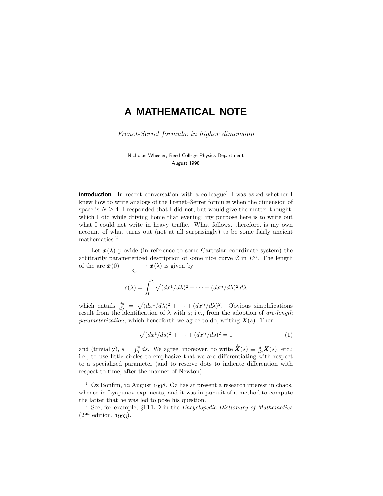# **A MATHEMATICAL NOTE**

Frenet-Serret formulæ in higher dimension

Nicholas Wheeler, Reed College Physics Department August 1998

**Introduction**. In recent conversation with a colleague<sup>1</sup> I was asked whether I knew how to write analogs of the Frenet–Serret formulæ when the dimension of space is  $N \geq 4$ . I responded that I did not, but would give the matter thought, which I did while driving home that evening; my purpose here is to write out what I could not write in heavy traffic. What follows, therefore, is my own account of what turns out (not at all surprisingly) to be some fairly ancient mathematics.<sup>2</sup>

Let  $\mathbf{x}(\lambda)$  provide (in reference to some Cartesian coordinate system) the arbitrarily parameterized description of some nice curve  $\mathcal C$  in  $E^n$ . The length of the arc  $\mathbf{x}(0) \longrightarrow \mathbf{x}(\lambda)$  is given by

$$
s(\lambda) = \int_0^{\lambda} \sqrt{(dx^1/d\lambda)^2 + \dots + (dx^n/d\lambda)^2} \, d\lambda
$$

which entails  $\frac{ds}{d\lambda} = \sqrt{(dx^1/d\lambda)^2 + \cdots + (dx^n/d\lambda)^2}$ . Obvious simplifications result from the identification of  $\lambda$  with *s*; i.e., from the adoption of arc-length *parameterization,* which henceforth we agree to do, writing  $\mathbf{X}(s)$ . Then

$$
\sqrt{(dx^1/ds)^2 + \dots + (dx^n/ds)^2} = 1\tag{1}
$$

and (trivially),  $s = \int_0^s ds$ . We agree, moreover, to write  $\mathring{X}(s) \equiv \frac{d}{ds}X(s)$ , etc.; i.e., to use little circles to emphasize that we are differentiating with respect to a specialized parameter (and to reserve dots to indicate differention with respect to time, after the manner of Newton).

 $1$  Oz Bonfim, 12 August 1998. Oz has at present a research interest in chaos, whence in Lyapunov exponents, and it was in pursuit of a method to compute the latter that he was led to pose his question.

<sup>&</sup>lt;sup>2</sup> See, for example,  $\S$ 111.D in the *Encyclopedic Dictionary of Mathematics*  $(2<sup>nd</sup> edition, 1993).$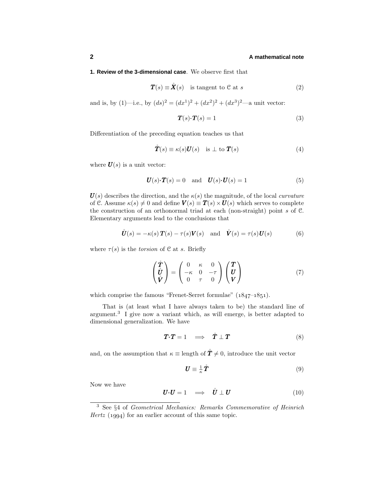# **2 A mathematical note**

# **1. Review of the 3-dimensional case**. We observe first that

$$
\mathbf{T}(s) \equiv \mathring{\mathbf{X}}(s) \quad \text{is tangent to } \mathcal{C} \text{ at } s \tag{2}
$$

and is, by (1)—i.e., by  $(ds)^2 = (dx^1)^2 + (dx^2)^2 + (dx^3)^2$ —a unit vector:

$$
T(s) \cdot T(s) = 1 \tag{3}
$$

Differentiation of the preceding equation teaches us that

$$
\mathring{T}(s) \equiv \kappa(s)\mathbf{U}(s) \quad \text{is } \perp \text{ to } \mathbf{T}(s)
$$
 (4)

where  $\boldsymbol{U}(s)$  is a unit vector:

$$
\boldsymbol{U}(s)\cdot\boldsymbol{T}(s) = 0 \quad \text{and} \quad \boldsymbol{U}(s)\cdot\boldsymbol{U}(s) = 1 \tag{5}
$$

 $U(s)$  describes the direction, and the  $\kappa(s)$  the magnitude, of the local *curvature* of C. Assume  $\kappa(s) \neq 0$  and define  $V(s) \equiv T(s) \times U(s)$  which serves to complete the construction of an orthonormal triad at each (non-straight) point *s* of C. Elementaryarguments lead to the conclusions that

$$
\mathring{\boldsymbol{U}}(s) = -\kappa(s)\boldsymbol{T}(s) - \tau(s)\boldsymbol{V}(s) \quad \text{and} \quad \mathring{\boldsymbol{V}}(s) = \tau(s)\boldsymbol{U}(s) \tag{6}
$$

where  $\tau(s)$  is the *torsion* of C at *s*. Briefly

$$
\begin{pmatrix} \mathring{T} \\ \mathring{U} \\ \mathring{V} \end{pmatrix} = \begin{pmatrix} 0 & \kappa & 0 \\ -\kappa & 0 & -\tau \\ 0 & \tau & 0 \end{pmatrix} \begin{pmatrix} T \\ U \\ V \end{pmatrix}
$$
(7)

which comprise the famous "Frenet-Serret formulae"  $(1847-1851)$ .

That is (at least what I have always taken to be) the standard line of argument.<sup>3</sup> I give now a variant which, as will emerge, is better adapted to dimensional generalization. We have

$$
T \cdot T = 1 \quad \Longrightarrow \quad \mathring{T} \perp T \tag{8}
$$

and, on the assumption that  $\kappa \equiv$  length of  $\mathbf{\hat{T}} \neq 0$ , introduce the unit vector

$$
\boldsymbol{U} \equiv \frac{1}{\kappa} \hat{\boldsymbol{T}} \tag{9}
$$

Now we have

$$
\boldsymbol{U} \cdot \boldsymbol{U} = 1 \quad \Longrightarrow \quad \overset{\circ}{\boldsymbol{U}} \perp \boldsymbol{U} \tag{10}
$$

<sup>3</sup> See §4 of Geometrical Mechanics: Remarks Commemorative of Heinrich  $Hertz$  (1994) for an earlier account of this same topic.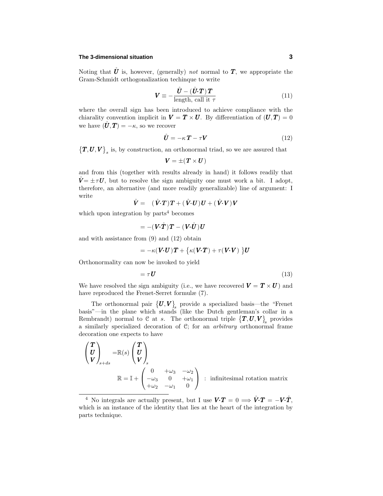# **The 3-dimensional situation 3**

Noting that  $\mathring{U}$  is, however, (generally) *not* normal to  $T$ , we appropriate the Gram-Schmidt orthogonalization techinque to write

$$
\mathbf{V} \equiv -\frac{\mathbf{\hat{U}} - (\mathbf{\hat{U}} \cdot \mathbf{T}) \mathbf{T}}{\text{length, call it } \tau}
$$
(11)

where the overall sign has been introduced to achieve compliance with the chiarality convention implicit in  $V = T \times U$ . By differentiation of  $(U, T) = 0$ we have  $(\mathring{\boldsymbol{U}}, \boldsymbol{T}) = -\kappa$ , so we recover

$$
\mathring{\boldsymbol{U}} = -\kappa \boldsymbol{T} - \tau \boldsymbol{V} \tag{12}
$$

 $(T, U, V)$ <sub>s</sub> is, by construction, an orthonormal triad, so we are assured that

$$
\bm{V}=\pm(\bm{T}\times\bm{U})
$$

and from this (together with results already in hand) it follows readily that  $\mathbf{V} = \pm \tau \mathbf{U}$ , but to resolve the sign ambiguity one must work a bit. I adopt, therefore, an alternative (and more readilygeneralizable) line of argument: I write

$$
\mathring{V} = (\mathring{V} \cdot T)T + (\mathring{V} \cdot U)U + (\mathring{V} \cdot V)V
$$

which upon integration by  $parts<sup>4</sup>$  becomes

$$
= -( \bm{V}{\cdot }\mathring{\bm{T}})\bm{T} - (\bm{V}{\cdot }\mathring{\bm{U}})\bm{U}
$$

and with assistance from (9) and (12) obtain

$$
= -\kappa(\boldsymbol{V}\boldsymbol{\cdot}\boldsymbol{U})\boldsymbol{T} + \big\{\kappa(\boldsymbol{V}\boldsymbol{\cdot}\boldsymbol{T}) + \tau(\boldsymbol{V}\boldsymbol{\cdot}\boldsymbol{V})\ \big\}\boldsymbol{U}
$$

Orthonormalitycan now be invoked to yield

$$
= \tau \mathbf{U} \tag{13}
$$

We have resolved the sign ambiguity (i.e., we have recovered  $V = T \times U$ ) and have reproduced the Frenet-Serret formulæ (7).

The orthonormal pair  $\{U, V\}$  provide a specialized basis—the "Frenet" basis"—in the plane which stands (like the Dutch gentleman's collar in a Rembrandt) normal to C at *s*. The orthonormal triple  $\{T, U, V\}$  provides a similarly specialized decoration of  $C$ ; for an *arbitrary* orthonormal frame decoration one expects to have

$$
\begin{pmatrix}\nT \\
U \\
V\n\end{pmatrix}_{s+ds} = \mathbb{R}(s) \begin{pmatrix}\nT \\
U \\
V\n\end{pmatrix}_s
$$
\n
$$
\mathbb{R} = \mathbb{I} + \begin{pmatrix}\n0 & +\omega_3 & -\omega_2 \\
-\omega_3 & 0 & +\omega_1 \\
+\omega_2 & -\omega_1 & 0\n\end{pmatrix} \text{ : infinitesimal rotation matrix}
$$

<sup>&</sup>lt;sup>4</sup> No integrals are actually present, but I use  $V \cdot T = 0 \implies \mathring{V} \cdot T = -V \cdot \mathring{T}$ , which is an instance of the identity that lies at the heart of the integration by parts technique.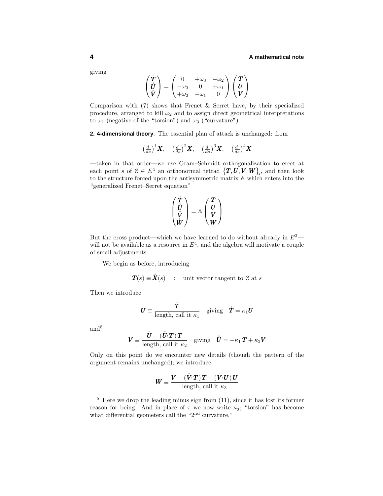#### **4 A mathematical note**

giving

$$
\begin{pmatrix} \mathring{T} \\ \mathring{U} \\ \mathring{V} \end{pmatrix} = \begin{pmatrix} 0 & +\omega_3 & -\omega_2 \\ -\omega_3 & 0 & +\omega_1 \\ +\omega_2 & -\omega_1 & 0 \end{pmatrix} \begin{pmatrix} T \\ U \\ V \end{pmatrix}
$$

Comparison with  $(7)$  shows that Frenet & Serret have, by their specialized procedure, arranged to kill  $\omega_2$  and to assign direct geometrical interpretations to  $\omega_1$  (negative of the "torsion") and  $\omega_3$  ("curvature").

**2. 4-dimensional theory**. The essential plan of attack is unchanged: from

$$
\left(\frac{d}{ds}\right)^1 X, \quad \left(\frac{d}{ds}\right)^2 X, \quad \left(\frac{d}{ds}\right)^3 X, \quad \left(\frac{d}{ds}\right)^4 X
$$

—taken in that order—we use Gram–Schmidt orthogonalization to erect at each point *s* of  $C \in E^4$  an orthonormal tetrad  $\{T, U, V, W\}$ , and then look to the structure forced upon the antisymmetric matrix A which enters into the "generalized Frenet–Serret equation"

$$
\begin{pmatrix}\n\mathring{T} \\
\mathring{V} \\
\mathring{V} \\
\mathring{W}\n\end{pmatrix} = \mathbb{A} \begin{pmatrix}\nT \\
U \\
V \\
W\n\end{pmatrix}
$$

But the cross product—which we have learned to do without already in  $E^3$  will not be available as a resource in  $E<sup>4</sup>$ , and the algebra will motivate a couple of small adjustments.

We begin as before, introducing

$$
\boldsymbol{T}(s) \equiv \mathring{\boldsymbol{X}}(s) \quad : \quad \text{unit vector tangent to } \mathcal{C} \text{ at } s
$$

Then we introduce

$$
\boldsymbol{U} \equiv \frac{\boldsymbol{\mathring{T}}}{\text{length, call it } \kappa_1} \quad \text{giving} \quad \boldsymbol{\mathring{T}} = \kappa_1 \boldsymbol{U}
$$

and<sup>5</sup>

$$
\mathbf{V} \equiv \frac{\mathbf{\mathring{U}} - (\mathbf{\mathring{U}} \cdot \mathbf{T}) \mathbf{T}}{\text{length, call it } \kappa_2} \quad \text{giving} \quad \mathbf{\mathring{U}} = -\kappa_1 \mathbf{T} + \kappa_2 \mathbf{V}
$$

Only on this point do we encounter new details (though the pattern of the argument remains unchanged); we introduce

$$
W \equiv \frac{\mathring{V} - (\mathring{V} \cdot T) T - (\mathring{V} \cdot U) U}{\text{length, call it } \kappa_3}
$$

 $\frac{5}{5}$  Here we drop the leading minus sign from (11), since it has lost its former reason for being. And in place of  $\tau$  we now write  $\kappa_2$ ; "torsion" has become what differential geometers call the "2<sup>nd</sup> curvature."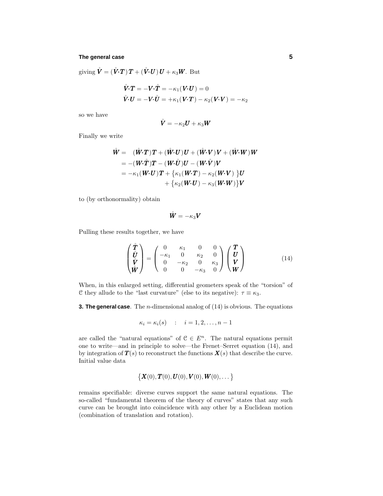#### **The general case 5**

 $\mathbf{g}$ iving  $\mathbf{\dot{V}} = (\mathbf{\dot{V}} \cdot \mathbf{T}) \mathbf{T} + (\mathbf{\dot{V}} \cdot \mathbf{U}) \mathbf{U} + \kappa_3 \mathbf{W}$ . But

$$
\mathring{V} \cdot T = -V \cdot \mathring{T} = -\kappa_1 (V \cdot U) = 0
$$
  

$$
\mathring{V} \cdot U = -V \cdot \mathring{U} = +\kappa_1 (V \cdot T) - \kappa_2 (V \cdot V) = -\kappa_2
$$

so we have

$$
\mathring{\boldsymbol{V}}=-\kappa_2\boldsymbol{U}+\kappa_3\boldsymbol{W}
$$

Finally we write

$$
\begin{aligned}\n\mathring{\boldsymbol{W}} &= \quad (\mathring{\boldsymbol{W}} \cdot \boldsymbol{T}) \boldsymbol{T} + (\mathring{\boldsymbol{W}} \cdot \boldsymbol{U}) \boldsymbol{U} + (\mathring{\boldsymbol{W}} \cdot \boldsymbol{V}) \boldsymbol{V} + (\mathring{\boldsymbol{W}} \cdot \boldsymbol{W}) \boldsymbol{W} \\
&= -(\boldsymbol{W} \cdot \mathring{\boldsymbol{T}}) \boldsymbol{T} - (\boldsymbol{W} \cdot \mathring{\boldsymbol{U}}) \boldsymbol{U} - (\boldsymbol{W} \cdot \mathring{\boldsymbol{V}}) \boldsymbol{V} \\
&= -\kappa_1 (\boldsymbol{W} \cdot \boldsymbol{U}) \boldsymbol{T} + \{ \kappa_1 (\boldsymbol{W} \cdot \boldsymbol{T}) - \kappa_2 (\boldsymbol{W} \cdot \boldsymbol{V}) \} \boldsymbol{U} \\
&+ \{ \kappa_2 (\boldsymbol{W} \cdot \boldsymbol{U}) - \kappa_3 (\boldsymbol{W} \cdot \boldsymbol{W}) \} \boldsymbol{V}\n\end{aligned}
$$

to (by orthonormality) obtain

$$
\mathring{\boldsymbol{W}}=-\kappa_3\boldsymbol{V}
$$

Pulling these results together, we have

$$
\begin{pmatrix} \mathring{T} \\ \mathring{U} \\ \mathring{V} \\ \mathring{W} \end{pmatrix} = \begin{pmatrix} 0 & \kappa_1 & 0 & 0 \\ -\kappa_1 & 0 & \kappa_2 & 0 \\ 0 & -\kappa_2 & 0 & \kappa_3 \\ 0 & 0 & -\kappa_3 & 0 \end{pmatrix} \begin{pmatrix} T \\ U \\ V \\ W \end{pmatrix}
$$
(14)

When, in this enlarged setting, differential geometers speak of the "torsion" of C they allude to the "last curvature" (else to its negative):  $\tau \equiv \kappa_3$ .

**3. The general case**. The *n*-dimensional analog of (14) is obvious. The equations

$$
\kappa_i = \kappa_i(s) \qquad i = 1, 2, \dots, n-1
$$

are called the "natural equations" of  $C \in E<sup>n</sup>$ . The natural equations permit one to write—and in principle to solve—the Frenet–Serret equation (14), and by integration of  $T(s)$  to reconstruct the functions  $X(s)$  that describe the curve. Initial value data

$$
\{ \bm{X}(0), \bm{T}(0), \bm{U}(0), \bm{V}(0), \bm{W}(0), \dots \}
$$

remains specifiable: diverse curves support the same natural equations. The so-called "fundamental theorem of the theory of curves" states that any such curve can be brought into coincidence with any other by a Euclidean motion (combination of translation and rotation).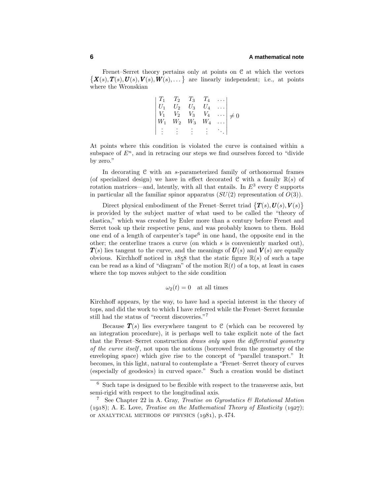Frenet–Serret theory pertains only at points on  $C$  at which the vectors  $\{X(s), T(s), U(s), V(s), W(s), \ldots\}$  are linearly independent; i.e., at points where the Wronskian

$$
\begin{vmatrix} T_1 & T_2 & T_3 & T_4 & \dots \\ U_1 & U_2 & U_3 & U_4 & \dots \\ V_1 & V_2 & V_3 & V_4 & \dots \\ W_1 & W_2 & W_3 & W_4 & \dots \\ \vdots & \vdots & \vdots & \vdots & \ddots \end{vmatrix} \neq 0
$$

At points where this condition is violated the curve is contained within a subspace of  $E^n$ , and in retracing our steps we find ourselves forced to "divide" byzero."

In decorating C with an *s*-parameterized family of orthonormal frames (of specialized design) we have in effect decorated  $C$  with a family  $\mathbb{R}(s)$  of rotation matrices—and, latently, with all that entails. In  $E<sup>3</sup>$  every  $\mathcal C$  supports in particular all the familiar spinor apparatus  $(SU(2)$  representation of  $O(3)$ ).

Direct physical embodiment of the Frenet–Serret triad  $\{T(s), U(s), V(s)\}$ is provided bythe subject matter of what used to be called the "theoryof elastica," which was created by Euler more than a century before Frenet and Serret took up their respective pens, and was probably known to them. Hold one end of a length of carpenter's tape<sup>6</sup> in one hand, the opposite end in the other; the centerline traces a curve (on which  $s$  is conveniently marked out),  $T(s)$  lies tangent to the curve, and the meanings of  $U(s)$  and  $V(s)$  are equally obvious. Kirchhoff noticed in  $1858$  that the static figure  $\mathbb{R}(s)$  of such a tape can be read as a kind of "diagram" of the motion  $\mathbb{R}(t)$  of a top, at least in cases where the top moves subject to the side condition

 $\omega_2(t) = 0$  at all times

Kirchhoff appears, by the way, to have had a special interest in the theory of tops, and did the work to which I have referred while the Frenet–Serret formulæ still had the status of "recent discoveries."<sup>7</sup>

Because  $T(s)$  lies everywhere tangent to C (which can be recovered by an integration procedure), it is perhaps well to take explicit note of the fact that the Frenet–Serret construction draws only upon the differential geometry of the curve itself , not upon the notions (borrowed from the geometryof the enveloping space) which give rise to the concept of "parallel transport." It becomes, in this light, natural to contemplate a "Frenet–Serret theoryof curves (especially of geodesics) in curved space." Such a creation would be distinct

<sup>6</sup> Such tape is designed to be flexible with respect to the transverse axis, but semi-rigid with respect to the longitudinal axis.

<sup>7</sup> See Chapter 22 in A. Gray, Treatise on Gyrostatics & Rotational Motion  $(1918)$ ; A. E. Love, *Treatise on the Mathematical Theory of Elasticity*  $(1927)$ ; or ANALYTICAL METHODS OF PHYSICS  $(1981)$ , p.474.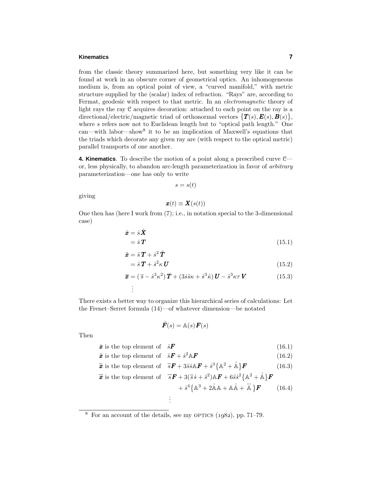#### **Kinematics 7**

from the classic theory summarized here, but something very like it can be found at work in an obscure corner of geometrical optics. An inhomogeneous medium is, from an optical point of view, a "curved manifold," with metric structure supplied bythe (scalar) index of refraction. "Rays" are, according to Fermat, geodesic with respect to that metric. In an *electromagnetic* theory of light rays the ray  $\mathcal C$  acquires decoration: attached to each point on the ray is a directional/electric/magnetic triad of orthonormal vectors  $\{T(s), E(s), B(s)\},\$ where *s* refers now not to Euclidean length but to "optical path length." One  $\text{can}$ —with labor—show<sup>8</sup> it to be an implication of Maxwell's equations that the triads which decorate anygiven rayare (with respect to the optical metric) parallel transports of one another.

**4. Kinematics**. To describe the motion of a point along a prescribed curve C or, less physically, to abandon arc-length parameterization in favor of arbitrary parameterization—one has only to write

$$
s = s(t)
$$

giving

$$
\boldsymbol{x}(t) \equiv \boldsymbol{X}(s(t))
$$

One then has (here I work from (7); i.e., in notation special to the 3-dimensional case)

$$
\dot{\boldsymbol{x}} = \dot{s}\,\mathring{\boldsymbol{X}} \\
= \dot{s}\,\mathbf{T} \tag{15.1}
$$

$$
\ddot{\mathbf{x}} = \ddot{s} \mathbf{T} + \dot{s}^2 \dot{\mathbf{T}} \n= \ddot{s} \mathbf{T} + \dot{s}^2 \kappa \mathbf{U}
$$
\n(15.2)

$$
- \partial \mathbf{1} + \partial h \mathbf{U} \tag{10.2}
$$

$$
\ddot{\boldsymbol{x}} = (\ddot{s} - \dot{s}^3 \kappa^2) \boldsymbol{T} + (3\dot{s}\ddot{s}\kappa + \dot{s}^3 \ddot{\kappa}) \boldsymbol{U} - \dot{s}^3 \kappa \tau \boldsymbol{V}
$$
(15.3)

There exists a better wayto organize this hierarchical series of calculations: Let the Frenet–Serret formula (14)—of whatever dimension—be notated

. .

$$
\mathring{\bm{F}}(s) = \mathbb{A}(s) \bm{F}(s)
$$

Then

$$
\dot{x} \text{ is the top element of } \dot{s}F \tag{16.1}
$$

$$
\ddot{x} \text{ is the top element of } \ddot{s}F + \dot{s}^2 \mathbb{A}F \tag{16.2}
$$
\n
$$
\dddot{x} \text{ is the term element of } \ddot{x}F + 2\ddot{x} \mathbb{A}F + 3\left(\mathbb{A}^2 + \mathbb{A}\right)F \tag{16.2}
$$

$$
\ddot{\mathbf{x}} \text{ is the top element of } \ddot{s} \mathbf{F} + 3\ddot{s}\dot{s}\mathbf{A}\mathbf{F} + \dot{s}^3 \{\mathbf{A}^2 + \mathbf{A}\}\mathbf{F} \tag{16.3}
$$

$$
\dddot{\mathbf{x}} \text{ is the top element of } \dddot{s} \mathbf{F} + 3(\ddot{s}\dot{s} + \ddot{s}^2)\mathbf{A}\mathbf{F} + 6\ddot{s}\dot{s}^2\left\{\mathbf{A}^2 + \mathring{\mathbf{A}}\right\}\mathbf{F} + \dot{s}^4\left\{\mathbf{A}^3 + 2\mathring{\mathbf{A}}\mathbf{A} + \mathring{\mathbf{A}}\mathring{\mathbf{A}} + \mathring{\mathbf{A}}\right\}\mathbf{F} \qquad (16.4)
$$
  
:

 $8$  For an account of the details, see my OPTICS  $(1082)$ , pp. 71–79.